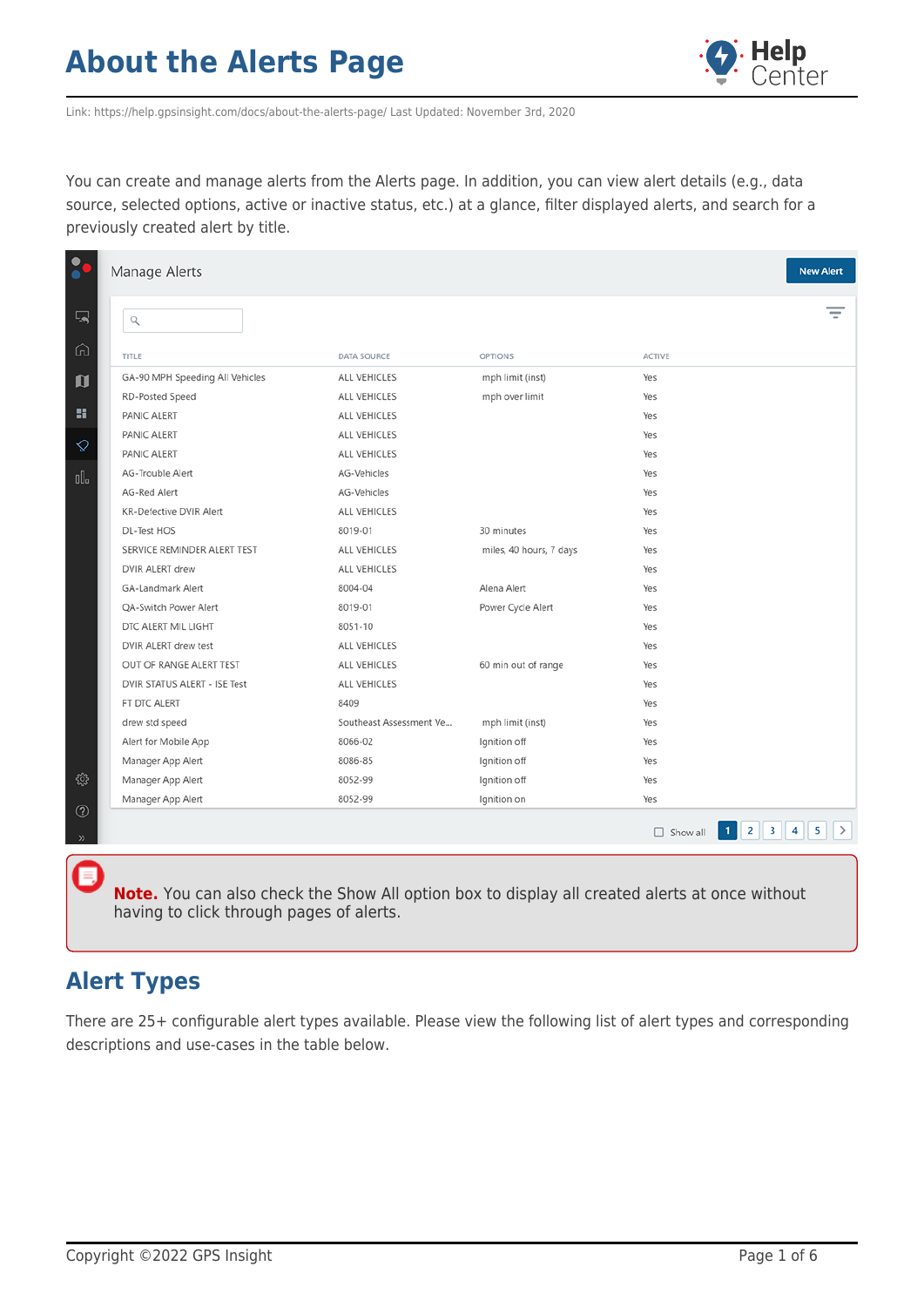

Link: https://help.gpsinsight.com/docs/about-the-alerts-page/ Last Updated: November 3rd, 2020

You can create and manage alerts from the Alerts page. In addition, you can view alert details (e.g., data source, selected options, active or inactive status, etc.) at a glance, filter displayed alerts, and search for a previously created alert by title.

|              | Manage Alerts                   |                         |                         |               | <b>New Alert</b> |
|--------------|---------------------------------|-------------------------|-------------------------|---------------|------------------|
| 国            | $\hbox{\large \it q}$           |                         |                         |               |                  |
| ⋒            | TITLE                           | <b>DATA SOURCE</b>      | <b>OPTIONS</b>          | <b>ACTIVE</b> |                  |
| $\mathbf{u}$ | GA-90 MPH Speeding All Vehicles | ALL VEHICLES            | mph limit (inst)        | Yes           |                  |
|              | RD-Posted Speed                 | ALL VEHICLES            | mph over limit          | Yes           |                  |
| 雷            | PANIC ALERT                     | ALL VEHICLES            |                         | Yes           |                  |
|              | PANIC ALERT                     | ALL VEHICLES            |                         | Yes           |                  |
| ♦            | PANIC ALERT                     | ALL VEHICLES            |                         | Yes           |                  |
| OO.          | AG-Trouble Alert                | AG-Vehicles             |                         | Yes           |                  |
|              | AG-Red Alert                    | AG-Vehicles             |                         | Yes           |                  |
|              | <b>KR-Defective DVIR Alert</b>  | ALL VEHICLES            |                         | Yes           |                  |
|              | DL-Test HOS                     | 8019-01                 | 30 minutes              | Yes           |                  |
|              | SERVICE REMINDER ALERT TEST     | ALL VEHICLES            | miles, 40 hours, 7 days | Yes           |                  |
|              | DVIR ALERT drew                 | ALL VEHICLES            |                         | Yes           |                  |
|              | GA-Landmark Alert               | 8004-04                 | Alena Alert             | Yes           |                  |
|              | QA-Switch Power Alert           | 8019-01                 | Power Cycle Alert       | Yes           |                  |
|              | DTC ALERT MIL LIGHT             | 8051-10                 |                         | Yes           |                  |
|              | DVIR ALERT drew test            | ALL VEHICLES            |                         | Yes           |                  |
|              | OUT OF RANGE ALERT TEST         | ALL VEHICLES            | 60 min out of range     | Yes           |                  |
|              | DVIR STATUS ALERT - ISE Test    | ALL VEHICLES            |                         | Yes           |                  |
|              | FT DTC ALERT                    | 8409                    |                         | Yes           |                  |
|              | drew std speed                  | Southeast Assessment Ve | mph limit (inst)        | Yes           |                  |
|              | Alert for Mobile App            | 8066-02                 | Ignition off            | Yes           |                  |
|              | Manager App Alert               | 8086-85                 | Ignition off            | Yes           |                  |
| ु            | Manager App Alert               | 8052-99                 | Ignition off            | Yes           |                  |
| $^{\circ}$   | Manager App Alert               | 8052-99                 | Ignition on             | Yes           |                  |
| $\gg$        |                                 |                         |                         |               |                  |

**Note.** You can also check the Show All option box to display all created alerts at once without having to click through pages of alerts.

#### **Alert Types**

There are 25+ configurable alert types available. Please view the following list of alert types and corresponding descriptions and use-cases in the table below.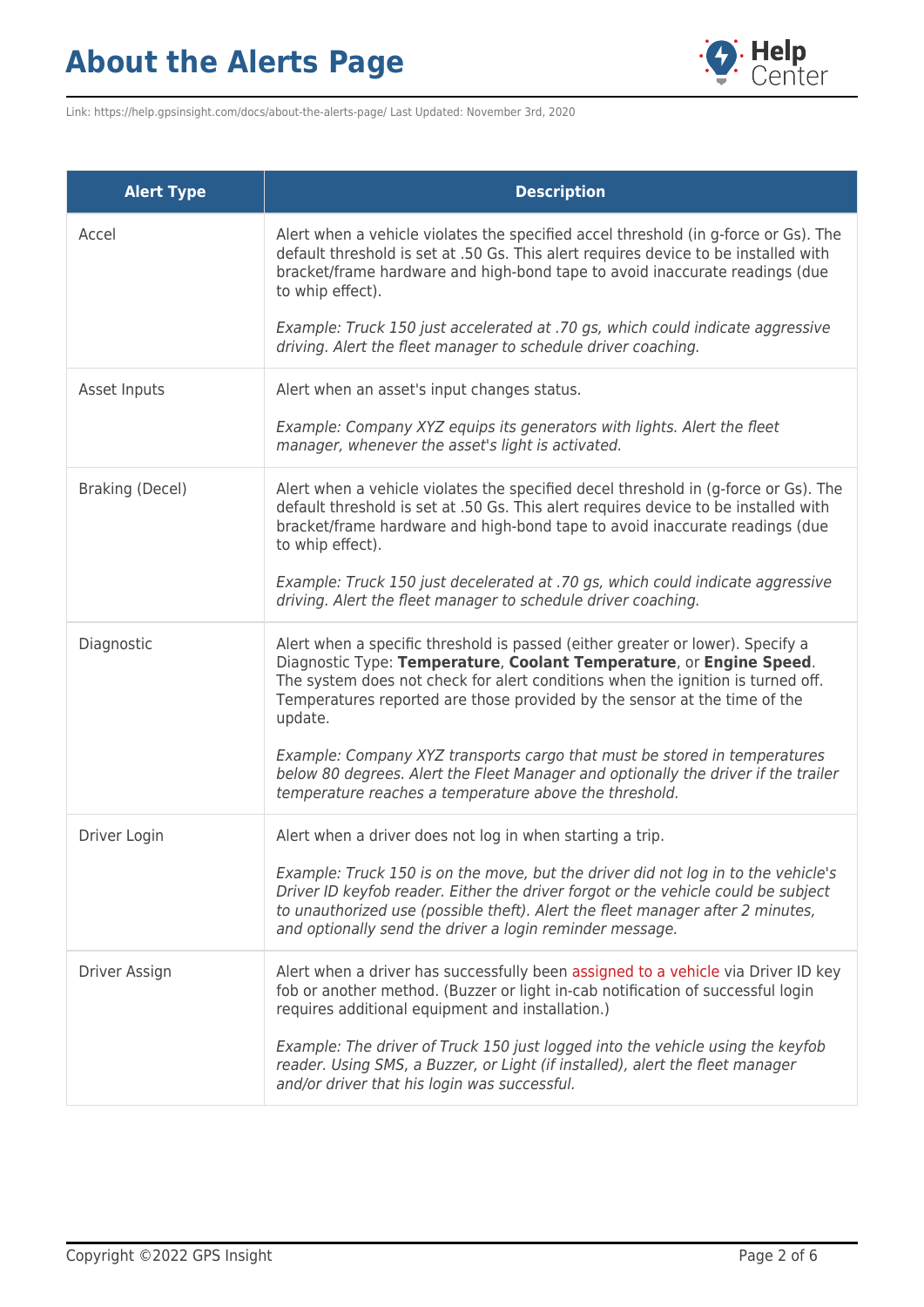

Link: https://help.gpsinsight.com/docs/about-the-alerts-page/ Last Updated: November 3rd, 2020

| <b>Alert Type</b> | <b>Description</b>                                                                                                                                                                                                                                                                                                               |
|-------------------|----------------------------------------------------------------------------------------------------------------------------------------------------------------------------------------------------------------------------------------------------------------------------------------------------------------------------------|
| Accel             | Alert when a vehicle violates the specified accel threshold (in g-force or Gs). The<br>default threshold is set at .50 Gs. This alert requires device to be installed with<br>bracket/frame hardware and high-bond tape to avoid inaccurate readings (due<br>to whip effect).                                                    |
|                   | Example: Truck 150 just accelerated at .70 gs, which could indicate aggressive<br>driving. Alert the fleet manager to schedule driver coaching.                                                                                                                                                                                  |
| Asset Inputs      | Alert when an asset's input changes status.                                                                                                                                                                                                                                                                                      |
|                   | Example: Company XYZ equips its generators with lights. Alert the fleet<br>manager, whenever the asset's light is activated.                                                                                                                                                                                                     |
| Braking (Decel)   | Alert when a vehicle violates the specified decel threshold in (g-force or Gs). The<br>default threshold is set at .50 Gs. This alert requires device to be installed with<br>bracket/frame hardware and high-bond tape to avoid inaccurate readings (due<br>to whip effect).                                                    |
|                   | Example: Truck 150 just decelerated at .70 gs, which could indicate aggressive<br>driving. Alert the fleet manager to schedule driver coaching.                                                                                                                                                                                  |
| Diagnostic        | Alert when a specific threshold is passed (either greater or lower). Specify a<br>Diagnostic Type: Temperature, Coolant Temperature, or Engine Speed.<br>The system does not check for alert conditions when the ignition is turned off.<br>Temperatures reported are those provided by the sensor at the time of the<br>update. |
|                   | Example: Company XYZ transports cargo that must be stored in temperatures<br>below 80 degrees. Alert the Fleet Manager and optionally the driver if the trailer<br>temperature reaches a temperature above the threshold.                                                                                                        |
| Driver Login      | Alert when a driver does not log in when starting a trip.                                                                                                                                                                                                                                                                        |
|                   | Example: Truck 150 is on the move, but the driver did not log in to the vehicle's<br>Driver ID keyfob reader. Either the driver forgot or the vehicle could be subject<br>to unauthorized use (possible theft). Alert the fleet manager after 2 minutes,<br>and optionally send the driver a login reminder message.             |
| Driver Assign     | Alert when a driver has successfully been assigned to a vehicle via Driver ID key<br>fob or another method. (Buzzer or light in-cab notification of successful login<br>requires additional equipment and installation.)                                                                                                         |
|                   | Example: The driver of Truck 150 just logged into the vehicle using the keyfob<br>reader. Using SMS, a Buzzer, or Light (if installed), alert the fleet manager<br>and/or driver that his login was successful.                                                                                                                  |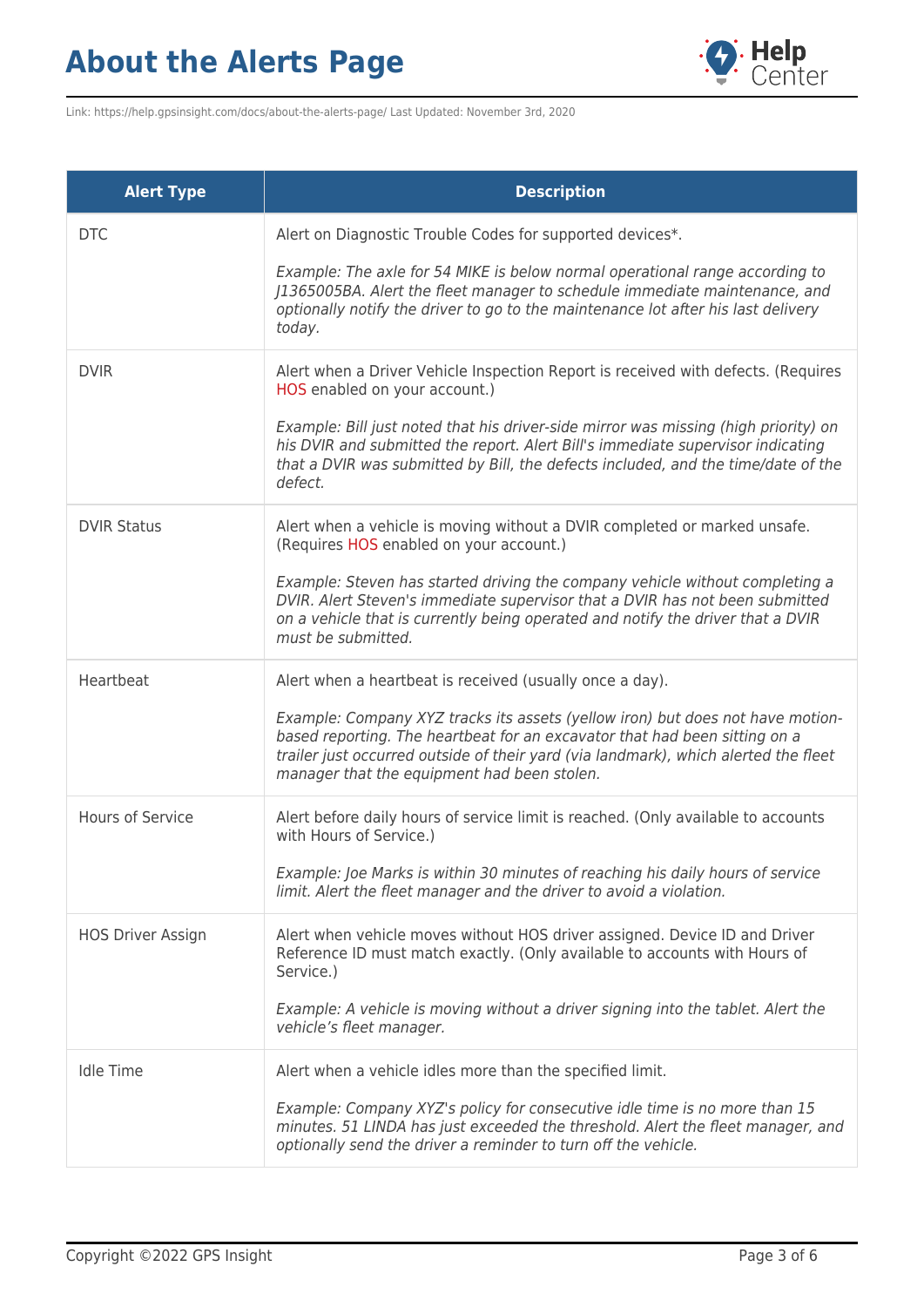

Link: https://help.gpsinsight.com/docs/about-the-alerts-page/ Last Updated: November 3rd, 2020

| <b>Alert Type</b>        | <b>Description</b>                                                                                                                                                                                                                                                                                 |
|--------------------------|----------------------------------------------------------------------------------------------------------------------------------------------------------------------------------------------------------------------------------------------------------------------------------------------------|
| <b>DTC</b>               | Alert on Diagnostic Trouble Codes for supported devices*.                                                                                                                                                                                                                                          |
|                          | Example: The axle for 54 MIKE is below normal operational range according to<br>J1365005BA. Alert the fleet manager to schedule immediate maintenance, and<br>optionally notify the driver to go to the maintenance lot after his last delivery<br>today.                                          |
| <b>DVIR</b>              | Alert when a Driver Vehicle Inspection Report is received with defects. (Requires<br>HOS enabled on your account.)                                                                                                                                                                                 |
|                          | Example: Bill just noted that his driver-side mirror was missing (high priority) on<br>his DVIR and submitted the report. Alert Bill's immediate supervisor indicating<br>that a DVIR was submitted by Bill, the defects included, and the time/date of the<br>defect.                             |
| <b>DVIR Status</b>       | Alert when a vehicle is moving without a DVIR completed or marked unsafe.<br>(Requires HOS enabled on your account.)                                                                                                                                                                               |
|                          | Example: Steven has started driving the company vehicle without completing a<br>DVIR. Alert Steven's immediate supervisor that a DVIR has not been submitted<br>on a vehicle that is currently being operated and notify the driver that a DVIR<br>must be submitted.                              |
| Heartbeat                | Alert when a heartbeat is received (usually once a day).                                                                                                                                                                                                                                           |
|                          | Example: Company XYZ tracks its assets (yellow iron) but does not have motion-<br>based reporting. The heartbeat for an excavator that had been sitting on a<br>trailer just occurred outside of their yard (via landmark), which alerted the fleet<br>manager that the equipment had been stolen. |
| <b>Hours of Service</b>  | Alert before daily hours of service limit is reached. (Only available to accounts<br>with Hours of Service.)                                                                                                                                                                                       |
|                          | Example: Joe Marks is within 30 minutes of reaching his daily hours of service<br>limit. Alert the fleet manager and the driver to avoid a violation.                                                                                                                                              |
| <b>HOS Driver Assign</b> | Alert when vehicle moves without HOS driver assigned. Device ID and Driver<br>Reference ID must match exactly. (Only available to accounts with Hours of<br>Service.)                                                                                                                              |
|                          | Example: A vehicle is moving without a driver signing into the tablet. Alert the<br>vehicle's fleet manager.                                                                                                                                                                                       |
| <b>Idle Time</b>         | Alert when a vehicle idles more than the specified limit.                                                                                                                                                                                                                                          |
|                          | Example: Company XYZ's policy for consecutive idle time is no more than 15<br>minutes. 51 LINDA has just exceeded the threshold. Alert the fleet manager, and<br>optionally send the driver a reminder to turn off the vehicle.                                                                    |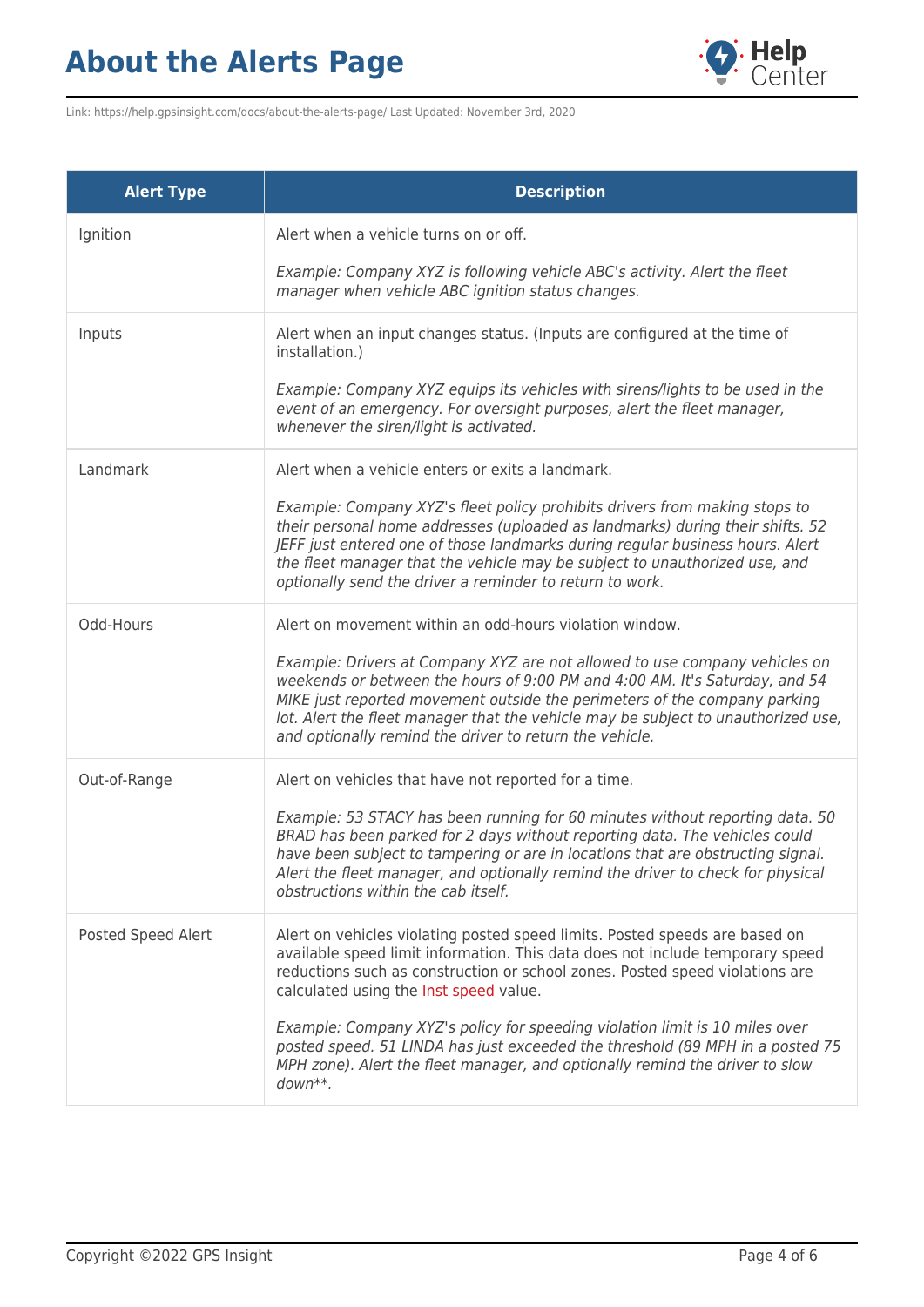

Link: https://help.gpsinsight.com/docs/about-the-alerts-page/ Last Updated: November 3rd, 2020

| <b>Alert Type</b>  | <b>Description</b>                                                                                                                                                                                                                                                                                                                                                                     |
|--------------------|----------------------------------------------------------------------------------------------------------------------------------------------------------------------------------------------------------------------------------------------------------------------------------------------------------------------------------------------------------------------------------------|
| Ignition           | Alert when a vehicle turns on or off.                                                                                                                                                                                                                                                                                                                                                  |
|                    | Example: Company XYZ is following vehicle ABC's activity. Alert the fleet<br>manager when vehicle ABC ignition status changes.                                                                                                                                                                                                                                                         |
| Inputs             | Alert when an input changes status. (Inputs are configured at the time of<br>installation.)                                                                                                                                                                                                                                                                                            |
|                    | Example: Company XYZ equips its vehicles with sirens/lights to be used in the<br>event of an emergency. For oversight purposes, alert the fleet manager,<br>whenever the siren/light is activated.                                                                                                                                                                                     |
| Landmark           | Alert when a vehicle enters or exits a landmark.                                                                                                                                                                                                                                                                                                                                       |
|                    | Example: Company XYZ's fleet policy prohibits drivers from making stops to<br>their personal home addresses (uploaded as landmarks) during their shifts. 52<br>JEFF just entered one of those landmarks during regular business hours. Alert<br>the fleet manager that the vehicle may be subject to unauthorized use, and<br>optionally send the driver a reminder to return to work. |
| Odd-Hours          | Alert on movement within an odd-hours violation window.                                                                                                                                                                                                                                                                                                                                |
|                    | Example: Drivers at Company XYZ are not allowed to use company vehicles on<br>weekends or between the hours of 9:00 PM and 4:00 AM. It's Saturday, and 54<br>MIKE just reported movement outside the perimeters of the company parking<br>lot. Alert the fleet manager that the vehicle may be subject to unauthorized use,<br>and optionally remind the driver to return the vehicle. |
| Out-of-Range       | Alert on vehicles that have not reported for a time.                                                                                                                                                                                                                                                                                                                                   |
|                    | Example: 53 STACY has been running for 60 minutes without reporting data. 50<br>BRAD has been parked for 2 days without reporting data. The vehicles could<br>have been subject to tampering or are in locations that are obstructing signal.<br>Alert the fleet manager, and optionally remind the driver to check for physical<br>obstructions within the cab itself.                |
| Posted Speed Alert | Alert on vehicles violating posted speed limits. Posted speeds are based on<br>available speed limit information. This data does not include temporary speed<br>reductions such as construction or school zones. Posted speed violations are<br>calculated using the Inst speed value.                                                                                                 |
|                    | Example: Company XYZ's policy for speeding violation limit is 10 miles over<br>posted speed. 51 LINDA has just exceeded the threshold (89 MPH in a posted 75<br>MPH zone). Alert the fleet manager, and optionally remind the driver to slow<br>$down**$ .                                                                                                                             |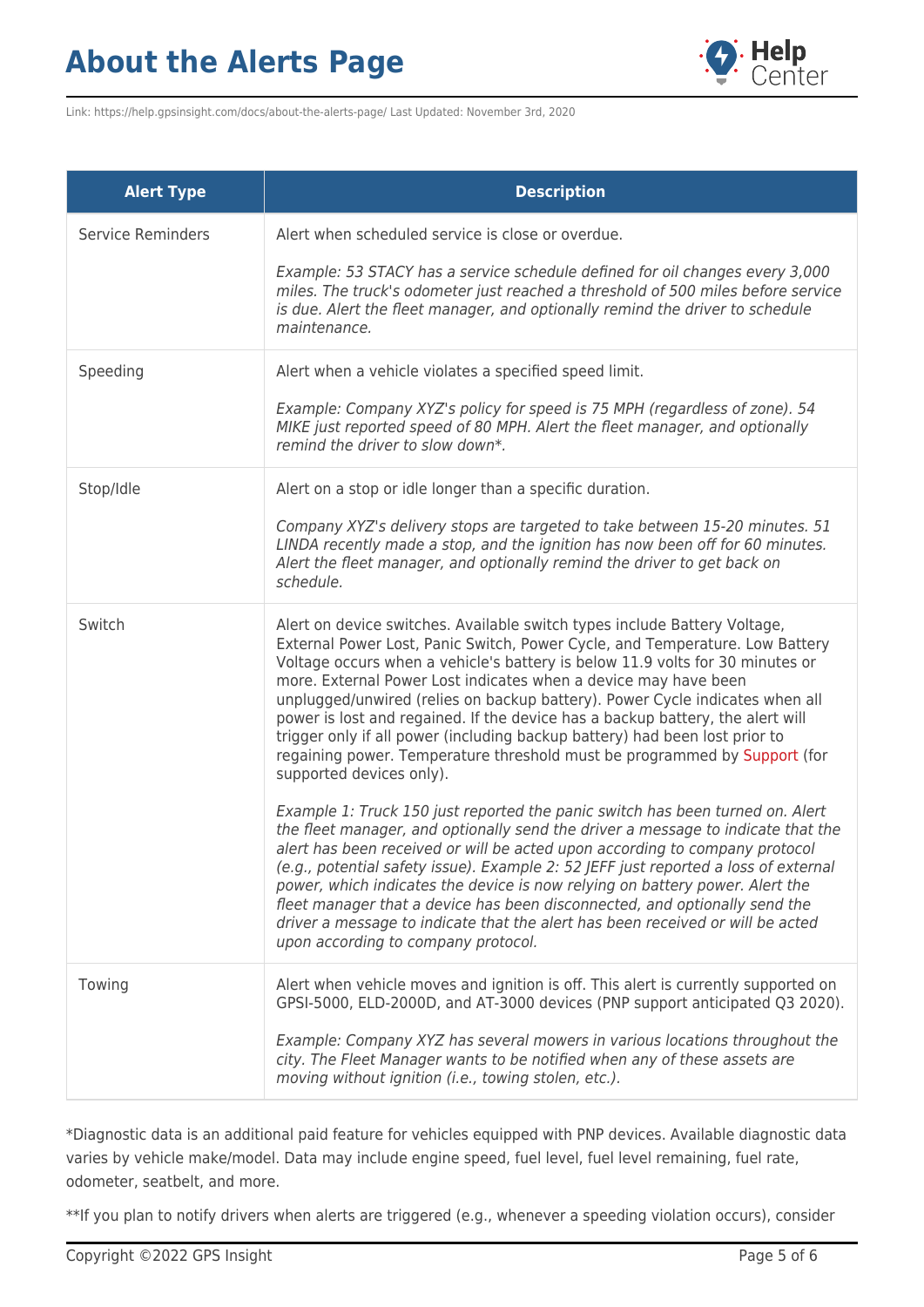

Link: https://help.gpsinsight.com/docs/about-the-alerts-page/ Last Updated: November 3rd, 2020

| <b>Alert Type</b>        | <b>Description</b>                                                                                                                                                                                                                                                                                                                                                                                                                                                                                                                                                                                                                                                      |
|--------------------------|-------------------------------------------------------------------------------------------------------------------------------------------------------------------------------------------------------------------------------------------------------------------------------------------------------------------------------------------------------------------------------------------------------------------------------------------------------------------------------------------------------------------------------------------------------------------------------------------------------------------------------------------------------------------------|
| <b>Service Reminders</b> | Alert when scheduled service is close or overdue.<br>Example: 53 STACY has a service schedule defined for oil changes every 3,000<br>miles. The truck's odometer just reached a threshold of 500 miles before service<br>is due. Alert the fleet manager, and optionally remind the driver to schedule<br>maintenance.                                                                                                                                                                                                                                                                                                                                                  |
| Speeding                 | Alert when a vehicle violates a specified speed limit.<br>Example: Company XYZ's policy for speed is 75 MPH (regardless of zone). 54<br>MIKE just reported speed of 80 MPH. Alert the fleet manager, and optionally<br>remind the driver to slow down*.                                                                                                                                                                                                                                                                                                                                                                                                                 |
| Stop/Idle                | Alert on a stop or idle longer than a specific duration.<br>Company XYZ's delivery stops are targeted to take between 15-20 minutes. 51<br>LINDA recently made a stop, and the ignition has now been off for 60 minutes.<br>Alert the fleet manager, and optionally remind the driver to get back on<br>schedule.                                                                                                                                                                                                                                                                                                                                                       |
| Switch                   | Alert on device switches. Available switch types include Battery Voltage,<br>External Power Lost, Panic Switch, Power Cycle, and Temperature. Low Battery<br>Voltage occurs when a vehicle's battery is below 11.9 volts for 30 minutes or<br>more. External Power Lost indicates when a device may have been<br>unplugged/unwired (relies on backup battery). Power Cycle indicates when all<br>power is lost and regained. If the device has a backup battery, the alert will<br>trigger only if all power (including backup battery) had been lost prior to<br>regaining power. Temperature threshold must be programmed by Support (for<br>supported devices only). |
|                          | Example 1: Truck 150 just reported the panic switch has been turned on. Alert<br>the fleet manager, and optionally send the driver a message to indicate that the<br>alert has been received or will be acted upon according to company protocol<br>(e.g., potential safety issue). Example 2: 52 JEFF just reported a loss of external<br>power, which indicates the device is now relying on battery power. Alert the<br>fleet manager that a device has been disconnected, and optionally send the<br>driver a message to indicate that the alert has been received or will be acted<br>upon according to company protocol.                                          |
| Towing                   | Alert when vehicle moves and ignition is off. This alert is currently supported on<br>GPSI-5000, ELD-2000D, and AT-3000 devices (PNP support anticipated Q3 2020).<br>Example: Company XYZ has several mowers in various locations throughout the<br>city. The Fleet Manager wants to be notified when any of these assets are<br>moving without ignition (i.e., towing stolen, etc.).                                                                                                                                                                                                                                                                                  |

\*Diagnostic data is an additional paid feature for vehicles equipped with PNP devices. Available diagnostic data varies by vehicle make/model. Data may include engine speed, fuel level, fuel level remaining, fuel rate, odometer, seatbelt, and more.

\*\*If you plan to notify drivers when alerts are triggered (e.g., whenever a speeding violation occurs), consider